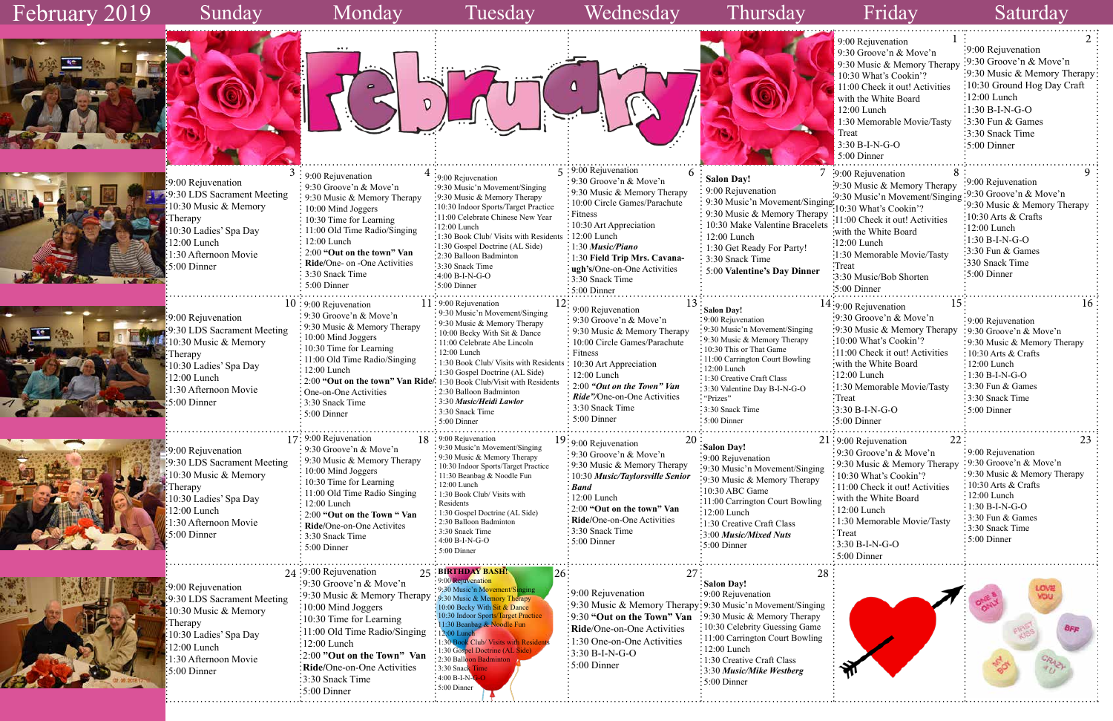## Sunday Monday Tuesday Wednesday Thursday Friday Saturday



|  | $\cdots$ | 9:00 Rejuvenation<br>$\frac{1}{2}$ 9:30 Groove'n & Move'n<br>9:30 Music & Memory Therapy : 9:30 Groove'n & Move'n<br>: 10:30 What's Cookin'?<br>$\frac{11:00}{ }$ Check it out! Activities<br>with the White Board<br>$12:00$ Lunch | $\div 9:00$ Rejuvenation<br>:9:30 Music & Memory Therap<br>:10:30 Ground Hog Day Craft<br>$\frac{12:00}{12:00}$ Lunch<br>$\frac{1}{2}1:30 B-I-N-G-O$ |
|--|----------|-------------------------------------------------------------------------------------------------------------------------------------------------------------------------------------------------------------------------------------|------------------------------------------------------------------------------------------------------------------------------------------------------|
|  |          | $\frac{1}{2}$ 1:30 Memorable Movie/Tasty                                                                                                                                                                                            | $\frac{1}{2}$ :30 Fun & Games                                                                                                                        |
|  |          | Treat<br>$3:30 B-I-N-G-O$                                                                                                                                                                                                           | $\frac{1}{2}$ :30 Snack Time<br>$\cdot$ 5:00 Dinner                                                                                                  |









| :9:00 Rejuvenation<br><b>30 LDS Sacrament Meeting</b><br>:10:30 Music & Memory<br>Therapy<br>10:30 Ladies' Spa Day<br>$:12:00$ Lunch<br>1:30 Afternoon Movie<br>$\cdot 5:00$ Dinner | $\prime$ : 9:00 Rejuvenation<br>: 9:30 Groove'n $& \text{Move'}n$<br>$\frac{1}{2}$ 9:30 Music & Memory Therapy<br>$\div 10:00$ Mind Joggers<br>$\therefore$ 10:30 Time for Learning<br>: 11:00 Old Time Radio/Singing<br>$\div 12:00$ Lunch<br>$\div 2:00$ "Out on the town" Van<br>: Ride/One- on -One Activities<br>$: 3:30$ Snack Time<br>$: 5:00$ Dinner | $\cdot$ 9:00 Rejuvenation<br>:9:30 Music'n Movement/Singing<br>:9:30 Music & Memory Therapy<br>:10:30 Indoor Sports/Target Practice<br>:11:00 Celebrate Chinese New Year<br>$:12:00$ Lunch<br>:1:30 Book Club/ Visits with Residents: 12:00 Lunch<br>$:1:30$ Gospel Doctrine (AL Side)<br>:2:30 Balloon Badminton<br>$:3:30$ Snack Time<br>$-4:00 B-I-N-G-O$<br>$:5:00$ Dinner | $5:9:00$ Rejuvenation<br><u>n</u> .<br>: 9:30 Groove'n & Move'n<br>$\frac{1}{2}$ 9:30 Music & Memory Therapy<br>$\div 10:00$ Circle Games/Parachute<br>: Fitness<br>$: 10:30$ Art Appreciation<br>$\cdot$ 1:30 <i>Music/Piano</i><br>: 1:30 Field Trip Mrs. Cavana-<br>: ugh's/One-on-One Activities<br>: $3:30$ Snack Time<br>$\cdot$ 5:00 Dinner | : Salon Day!<br>: 9:00 Rejuvenation<br>: 9:30 Music'n Movement/Singing:<br>$\therefore$ 9:30 Music & Memory Therapy<br>$\div$ 10:30 Make Valentine Bracelets<br>$\cdot$ 12:00 Lunch<br>: 1:30 Get Ready For Party!<br>$\div$ 3:30 Snack Time<br>: 5:00 Valentine's Day Dinner | :9:00 Rejuvenation<br>:9:30 Music & Memory Therapy<br>:9:30 Music'n Movement/Singing: 9:30 Groove'n & Move'n<br>$\cdot 10:30$ What's Cookin'?<br>11:00 Check it out! Activities<br>with the White Board<br>$:12:00$ Lunch<br>:1:30 Memorable Movie/Tasty<br>:Treat<br>:3:30 Music/Bob Shorten<br>$:5:00$ Dinner | :9:00 Rejuvenation<br>$\cdot$ 9:30 Music & Memory Therapy<br>$\cdot$ 10:30 Arts & Crafts<br>$\frac{12:00}{2}$ Lunch<br>$:1:30 B-I-N-G-O$<br>$:3:30$ Fun & Games<br>:330 Snack Time<br>$:5:00$ Dinner |    |
|-------------------------------------------------------------------------------------------------------------------------------------------------------------------------------------|--------------------------------------------------------------------------------------------------------------------------------------------------------------------------------------------------------------------------------------------------------------------------------------------------------------------------------------------------------------|--------------------------------------------------------------------------------------------------------------------------------------------------------------------------------------------------------------------------------------------------------------------------------------------------------------------------------------------------------------------------------|----------------------------------------------------------------------------------------------------------------------------------------------------------------------------------------------------------------------------------------------------------------------------------------------------------------------------------------------------|-------------------------------------------------------------------------------------------------------------------------------------------------------------------------------------------------------------------------------------------------------------------------------|-----------------------------------------------------------------------------------------------------------------------------------------------------------------------------------------------------------------------------------------------------------------------------------------------------------------|------------------------------------------------------------------------------------------------------------------------------------------------------------------------------------------------------|----|
| $\approx 9.00$ Rejuvenation<br>$\frac{1}{2}$ 9:30 LDS Sacrament Meeting                                                                                                             | $10:9:00$ Rejuvenation<br>: 9:30 Groove'n & Move'n<br>: 9:30 Music & Memory Therapy<br>$10.00 M_{\odot}$ $11_{\rm s}$                                                                                                                                                                                                                                        | $11:9:00$ Rejuvenation<br>: 9:30 Music'n Movement/Singing<br>$\cdot$ 9:30 Music & Memory Therapy<br>: 10:00 Becky With Sit & Dance                                                                                                                                                                                                                                             | $\div$ 9:00 Rejuvenation<br>: 9:30 Groove'n $&$ Move'n<br>: 9:30 Music & Memory Therapy                                                                                                                                                                                                                                                            | : Salon Day!<br>$\cdot$ 9:00 Rejuvenation<br>: 9:30 Music'n Movement/Singing                                                                                                                                                                                                  | $14:9:00$ Rejuvenation<br>I5۰<br>:9:30 Groove'n $\&$ Move'n<br>:9:30 Music & Memory Therapy :9:30 Groove'n & Move'n                                                                                                                                                                                             | $\cdot$ 9:00 Rejuvenation                                                                                                                                                                            | 16 |

|                                                                                                                                                                   | D                                                                                                                                                                                                                                                                                                                                                          |                                                                                                                                                                                                                                                                                                                                                                                                               |                                                                                                                                                                                                                                                                                                                           |                                                                                                                                                                                                                                                                                                                       | 9:00 Rejuvenation<br>9:30 Groove'n & Move'n<br>9:30 Music & Memory Therapy<br>10:30 What's Cookin'?<br>11:00 Check it out! Activities<br>with the White Board<br>12:00 Lunch<br>1:30 Memorable Movie/Tasty<br>Treat<br>$3:30 B-I-N-G-O$                                                               | :9:00 Rejuvenation<br>:9:30 Groove'n & Move'n<br>:9:30 Music & Memory Therapy<br>:10:30 Ground Hog Day Craft<br>$\frac{12:00}{2}$ Lunch<br>$\frac{1}{2}1:30 B-I-N-G-O$<br>$\frac{1}{2}$ :30 Fun & Games<br>:3:30 Snack Time<br>$\frac{1}{2}$ 5:00 Dinner |
|-------------------------------------------------------------------------------------------------------------------------------------------------------------------|------------------------------------------------------------------------------------------------------------------------------------------------------------------------------------------------------------------------------------------------------------------------------------------------------------------------------------------------------------|---------------------------------------------------------------------------------------------------------------------------------------------------------------------------------------------------------------------------------------------------------------------------------------------------------------------------------------------------------------------------------------------------------------|---------------------------------------------------------------------------------------------------------------------------------------------------------------------------------------------------------------------------------------------------------------------------------------------------------------------------|-----------------------------------------------------------------------------------------------------------------------------------------------------------------------------------------------------------------------------------------------------------------------------------------------------------------------|-------------------------------------------------------------------------------------------------------------------------------------------------------------------------------------------------------------------------------------------------------------------------------------------------------|----------------------------------------------------------------------------------------------------------------------------------------------------------------------------------------------------------------------------------------------------------|
| 9:00 Rejuvenation<br>9:30 LDS Sacrament Meeting<br>10:30 Music & Memory<br>Therapy<br>10:30 Ladies' Spa Day<br>12:00 Lunch<br>1:30 Afternoon Movie<br>5:00 Dinner | : 9:00 Rejuvenation<br>: 9:30 Groove'n & Move'n<br>$\frac{1}{2}$ 9:30 Music & Memory Therapy<br>: 10:00 Mind Joggers<br>10:30 Time for Learning<br>11:00 Old Time Radio/Singing<br>12:00 Lunch<br>2:00 "Out on the town" Van<br>Ride/One- on -One Activities<br>3:30 Snack Time<br>$\frac{1}{2}$ 5:00 Dinner                                               | :9:00 Rejuvenation<br>:9:30 Music'n Movement/Singing<br>:9:30 Music & Memory Therapy<br>:10:30 Indoor Sports/Target Practice<br>:11:00 Celebrate Chinese New Year<br>$:12:00$ Lunch<br>:1:30 Book Club/ Visits with Residents: 12:00 Lunch<br>:1:30 Gospel Doctrine (AL Side)<br>-2:30 Balloon Badminton<br>:3:30 Snack Time<br>$-4:00 B-I-N-G-O$<br>:5:00 Dinner                                             | $5:9:00$ Rejuvenation<br>: 9:30 Groove'n & Move'n<br>: 9:30 Music & Memory Therapy<br>: 10:00 Circle Games/Parachute<br>: Fitness<br>: 10:30 Art Appreciation<br>$\div 1:30$ Music/Piano<br>: 1:30 Field Trip Mrs. Cavana-<br>: ugh's/One-on-One Activities<br>$\frac{1}{2}$ 3:30 Snack Time<br>$\frac{1}{2}$ 5:00 Dinner | <b>Salon Day!</b><br>: 9:00 Rejuvenation<br>$\frac{1}{2}$ 9:30 Music'n Movement/Singing. 10:30 What's Cookin'?<br>$\frac{1}{2}$ 9:30 Music & Memory Therapy<br>10:30 Make Valentine Bracelets<br>12:00 Lunch<br>1:30 Get Ready For Party!<br>: 3:30 Snack Time<br>5:00 Valentine's Day Dinner                         | 5:00 Dinner<br>:9:00 Rejuvenation<br>:9:30 Music & Memory Therapy<br>:9:30 Music'n Movement/Singing<br>11:00 Check it out! Activities<br>with the White Board<br>:12:00 Lunch<br>:1:30 Memorable Movie/Tasty<br>:Treat<br>:3:30 Music/Bob Shorten<br>$:5:00$ Dinner                                   | :9:00 Rejuvenation<br>:9:30 Groove'n & Move'n<br>$\cdot$ 9:30 Music & Memory Therapy<br>$\frac{10:30 \text{ Arts}}{8 \text{ Crafts}}$<br>$:12:00$ Lunch<br>$:1:30 B-I-N-G-O$<br>:3:30 Fun & Games<br>:330 Snack Time<br>$:5:00$ Dinner                   |
| 9:00 Rejuvenation<br>9:30 LDS Sacrament Meeting<br>10:30 Music & Memory<br>Therapy<br>10:30 Ladies' Spa Day<br>12:00 Lunch<br>1:30 Afternoon Movie<br>5:00 Dinner | $10:9:00$ Rejuvenation<br>: 9:30 Groove'n & Move'n<br>: 9:30 Music & Memory Therapy<br>10:00 Mind Joggers<br>$10:30$ Time for Learning<br>11:00 Old Time Radio/Singing<br>12:00 Lunch<br>$\frac{1}{2}$ 2:00 "Out on the town" Van Ride/. 1:30 Book Club/Visit with Residents<br>$\frac{1}{2}$ One-on-One Activities<br>: 3:30 Snack Time<br>$:5:00$ Dinner | 11:9:00 Rejuvenation<br>: 9:30 Music'n Movement/Singing<br>: 9:30 Music & Memory Therapy<br>: 10:00 Becky With Sit & Dance<br>: 11:00 Celebrate Abe Lincoln<br>: 12:00 Lunch<br>: 1:30 Book Club/ Visits with Residents: 10:30 Art Appreciation<br>: 1:30 Gospel Doctrine (AL Side)<br>: 2:30 Balloon Badminton<br>: 3:30 Music/Heidi Lawlor<br>: 3:30 Snack Time<br>$: 5:00$ Dinner                          | 13:<br>9:00 Rejuvenation<br>: 9:30 Groove'n & Move'n<br>: 9:30 Music & Memory Therapy<br>$\frac{1}{2}$ 10:00 Circle Games/Parachute<br>: Fitness<br>: 12:00 Lunch<br>2:00 "Out on the Town" Van<br>Ride"/One-on-One Activities<br>: 3:30 Snack Time<br>5:00 Dinner                                                        | : Salon Day!<br>$\cdot$ 9:00 Rejuvenation<br>: 9:30 Music'n Movement/Singing<br>: 9:30 Music & Memory Therapy<br>: 10:30 This or That Game<br>: 11:00 Carrington Court Bowling<br>:12:00 Lunch<br>: 1:30 Creative Craft Class<br>: 3:30 Valentine Day B-I-N-G-O<br>: "Prizes"<br>: 3:30 Snack Time<br>$: 5:00$ Dinner | 15<br>$14:9:00$ Rejuvenation<br>:9:30 Groove'n $&$ Move'n<br>:9:30 Music & Memory Therapy<br>:10:00 What's Cookin'?<br>$: 11:00$ Check it out! Activities<br>with the White Board<br>$\frac{1}{2}12:00$ Lunch<br>:1:30 Memorable Movie/Tasty<br><b>Treat</b><br>$3:30 B-I-N-G-O$<br>:5:00 Dinner      | 16<br>: 9:00 Rejuvenation<br>$\frac{1}{2}$ 9:30 Groove'n & Move'n<br>:9:30 Music & Memory Therapy<br>: 10:30 Arts & Crafts<br>$\frac{1}{2}$ 12:00 Lunch<br>$\div$ 1:30 B-I-N-G-O<br>:3:30 Fun & Games<br>:3:30 Snack Time<br>∶5:00 Dinner                |
| 9:00 Rejuvenation<br>9:30 LDS Sacrament Meeting<br>10:30 Music & Memory<br>Therapy<br>10:30 Ladies' Spa Day<br>12:00 Lunch<br>1:30 Afternoon Movie<br>5:00 Dinner | $17:9:00$ Rejuvenation<br>: 9:30 Groove'n & Move'n<br>: 9:30 Music & Memory Therapy<br>$\frac{1}{2}$ 10:00 Mind Joggers<br>$10:30$ Time for Learning<br>: 11:00 Old Time Radio Singing<br>: 12:00 Lunch<br>$\frac{1}{2}$ 2:00 "Out on the Town " Van<br>Ride/One-on-One Activites<br>3:30 Snack Time<br>: 5:00 Dinner                                      | 18:9:00 Rejuvenation<br>: 9:30 Music'n Movement/Singing<br>: 9:30 Music & Memory Therapy<br>: 10:30 Indoor Sports/Target Practice<br>: 11:30 Beanbag & Noodle Fun<br>: 12:00 Lunch<br>1:30 Book Club/ Visits with<br>: Residents<br>: 1:30 Gospel Doctrine (AL Side)<br>2:30 Balloon Badminton<br>: 3:30 Snack Time<br>$: 4:00 B-I-N-G-O$<br>: $5:00$ Dinner                                                  | 20:<br>$19:9:00$ Rejuvenation<br>: 9:30 Groove'n & Move'n<br>: 9:30 Music & Memory Therapy<br>$\frac{1}{2}$ 10:30 Music/Taylorsville Senior<br>$\div$ Band<br>: 12:00 Lunch<br>: 2:00 "Out on the town" Van<br>: Ride/One-on-One Activities<br>$\frac{1}{2}$ 3:30 Snack Time<br>: 5:00 Dinner                             | Salon Day!<br>:9:00 Rejuvenation<br>:9:30 Music'n Movement/Singing<br>:9:30 Music & Memory Therapy<br>$:10:30$ ABC Game<br>:11:00 Carrington Court Bowling<br>:12:00 Lunch<br>:1:30 Creative Craft Class<br>:3:00 Music/Mixed Nuts<br>$:5:00$ Dinner                                                                  | 22:<br>$21:9:00$ Rejuvenation<br>:9:30 Groove'n & Move'n<br>: 9:30 Music & Memory Therapy<br>10:30 What's Cookin'?<br>$\div 11:00$ Check it out! Activities<br>with the White Board<br>$\frac{1}{2}12:00$ Lunch<br>: 1:30 Memorable Movie/Tasty<br>$\cdot$ Treat<br>$3:30 B-I-N-G-O$<br>: 5:00 Dinner | 23<br>: 9:00 Rejuvenation<br>: 9:30 Groove'n & Move'n<br>: 9:30 Music & Memory Therapy<br>: $10:30$ Arts & Crafts<br>:12:00 Lunch<br>$:1:30 B-I-N-G-O$<br>: 3:30 Fun & Games<br>: 3:30 Snack Time<br>$:5:00$ Dinner                                      |
| 9:00 Rejuvenation<br>9:30 LDS Sacrament Meeting<br>10:30 Music & Memory<br>Therapy<br>10:30 Ladies' Spa Day<br>12:00 Lunch<br>1:30 Afternoon Movie<br>5:00 Dinner | 24:9:00 Rejuvenation<br>:9:30 Groove'n & Move'n<br>:9:30 Music & Memory Therapy<br>:10:00 Mind Joggers<br>$:10:30$ Time for Learning<br>:11:00 Old Time Radio/Singing<br>$:12:00$ Lunch<br>2:00 "Out on the Town" Van<br>: Ride/One-on-One Activities<br>$3.30$ Snack Time                                                                                 | 25 : BIRTHDAY BASH!<br> 26:<br>: 9:00 Rejuvenation<br>: 9:30 Music'n Movement/Singing<br>: 9:30 Music & Memory Therapy<br>: 10:00 Becky With Sit & Dance<br>: 10:30 Indoor Sports/Target Practice<br>11:30 Beanbag & Noodle Fun<br>$\cdot$ 12:00 Lunch<br>1:30 Book Club/ Visits with Residents<br>: 1:30 Gospel Doctrine (AL Side)<br>: 2:30 Balloon Badminton<br>$\cdot$ 3:30 Snack Time<br>$:4:00 B-I-N-C$ | :9:00 Rejuvenation<br>:9:30 Music & Memory Therapy: 9:30 Music'n Movement/Singing<br>:9:30 "Out on the Town" Van<br>: Ride/One-on-One Activities<br>:1:30 One-on-One Activities<br>$\frac{1}{2}3.30 B-I-N-G-O$<br>$\frac{1}{2}$ 5:00 Dinner                                                                               | 28<br>: Salon Day!<br>: 9:00 Rejuvenation<br>: 9:30 Music & Memory Therapy<br>: 10:30 Celebrity Guessing Game<br>: 11:00 Carrington Court Bowling<br>$\frac{1}{2}12:00$ Lunch<br>: 1:30 Creative Craft Class<br>:3:30 Music/Mike Westberg                                                                             |                                                                                                                                                                                                                                                                                                       | LOVE<br>vou                                                                                                                                                                                                                                              |

24:9:00 Rejuvenation 9:30 Groove'n & Move'n 9:30 Music & Memory Therapy 10:00 Mind Joggers 10:30 Time for Learning 11:00 Old Time Radio/Singing 12:00 Lunch 2:00 **"Out on the Town" Van Ride/**One-on-One Activities 3:30 Snack Time 5:00 Dinner  $24:9:00$  Rejuvenation  $25:BRTHDAY BASH$   $26:27:28$ <br> $30.20$  Created at Mayra's Analysis of  $27:28$ 25 BIRTHDAY BASH 9:00 Rejuvenation 9:30 Music'n Movem 9:30 Music & Memory Therapy 10:00 Becky With Sit & Dance 10:30 Indoor Sports/Target Practice 1:30 Beanbag & Noodle Fun  $2:00$  Lun 1:30 Book Club/ Visits with Resid 1:30 Gospel Doctrine (AL Side 2:30 Balloon Badminton  $: 3:30$  Snack  $4:00 B-I-N$ 5:00 Dinner

## February 2019